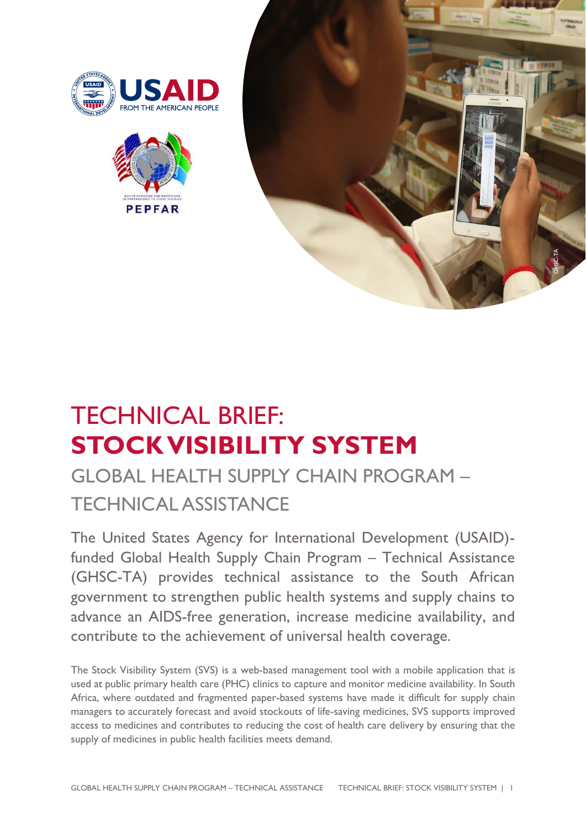





# TECHNICAL BRIEF: **STOCK VISIBILITY SYSTEM**

# GLOBAL HEALTH SUPPLY CHAIN PROGRAM – TECHNICAL ASSISTANCE

The United States Agency for International Development (USAID) funded Global Health Supply Chain Program – Technical Assistance (GHSC-TA) provides technical assistance to the South African government to strengthen public health systems and supply chains to advance an AIDS-free generation, increase medicine availability, and contribute to the achievement of universal health coverage.

The Stock Visibility System (SVS) is a web-based management tool with a mobile application that is used at public primary health care (PHC) clinics to capture and monitor medicine availability. In South Africa, where outdated and fragmented paper-based systems have made it difficult for supply chain managers to accurately forecast and avoid stockouts of life-saving medicines, SVS supports improved access to medicines and contributes to reducing the cost of health care delivery by ensuring that the supply of medicines in public health facilities meets demand.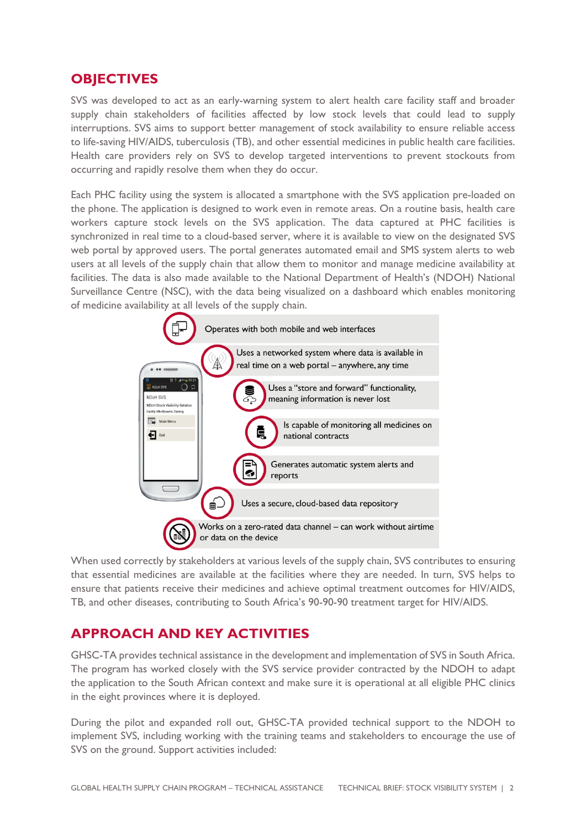#### **OBJECTIVES**

SVS was developed to act as an early-warning system to alert health care facility staff and broader supply chain stakeholders of facilities affected by low stock levels that could lead to supply interruptions. SVS aims to support better management of stock availability to ensure reliable access to life-saving HIV/AIDS, tuberculosis (TB), and other essential medicines in public health care facilities. Health care providers rely on SVS to develop targeted interventions to prevent stockouts from occurring and rapidly resolve them when they do occur.

Each PHC facility using the system is allocated a smartphone with the SVS application pre-loaded on the phone. The application is designed to work even in remote areas. On a routine basis, health care workers capture stock levels on the SVS application. The data captured at PHC facilities is synchronized in real time to a cloud-based server, where it is available to view on the designated SVS web portal by approved users. The portal generates automated email and SMS system alerts to web users at all levels of the supply chain that allow them to monitor and manage medicine availability at facilities. The data is also made available to the National Department of Health's (NDOH) National Surveillance Centre (NSC), with the data being visualized on a dashboard which enables monitoring of medicine availability at all levels of the supply chain.



When used correctly by stakeholders at various levels of the supply chain, SVS contributes to ensuring that essential medicines are available at the facilities where they are needed. In turn, SVS helps to ensure that patients receive their medicines and achieve optimal treatment outcomes for HIV/AIDS, TB, and other diseases, contributing to South Africa's 90-90-90 treatment target for HIV/AIDS.

### **APPROACH AND KEY ACTIVITIES**

GHSC-TA provides technical assistance in the development and implementation of SVS in South Africa. The program has worked closely with the SVS service provider contracted by the NDOH to adapt the application to the South African context and make sure it is operational at all eligible PHC clinics in the eight provinces where it is deployed.

During the pilot and expanded roll out, GHSC-TA provided technical support to the NDOH to implement SVS, including working with the training teams and stakeholders to encourage the use of SVS on the ground. Support activities included: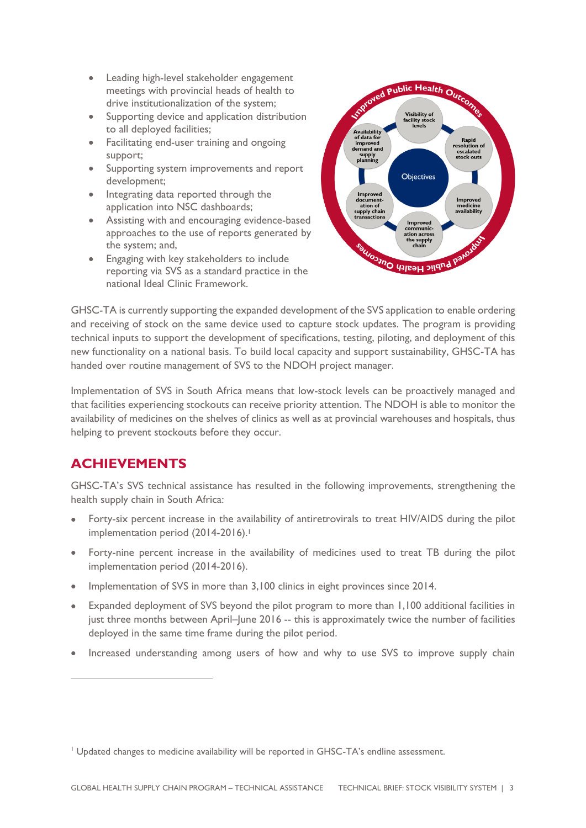- Leading high-level stakeholder engagement meetings with provincial heads of health to drive institutionalization of the system;
- Supporting device and application distribution to all deployed facilities;
- Facilitating end-user training and ongoing support;
- Supporting system improvements and report development;
- Integrating data reported through the application into NSC dashboards;
- Assisting with and encouraging evidence-based approaches to the use of reports generated by the system; and,
- Engaging with key stakeholders to include reporting via SVS as a standard practice in the national Ideal Clinic Framework.



GHSC-TA is currently supporting the expanded development of the SVS application to enable ordering and receiving of stock on the same device used to capture stock updates. The program is providing technical inputs to support the development of specifications, testing, piloting, and deployment of this new functionality on a national basis. To build local capacity and support sustainability, GHSC-TA has handed over routine management of SVS to the NDOH project manager.

Implementation of SVS in South Africa means that low-stock levels can be proactively managed and that facilities experiencing stockouts can receive priority attention. The NDOH is able to monitor the availability of medicines on the shelves of clinics as well as at provincial warehouses and hospitals, thus helping to prevent stockouts before they occur.

## **ACHIEVEMENTS**

GHSC-TA's SVS technical assistance has resulted in the following improvements, strengthening the health supply chain in South Africa:

- Forty-six percent increase in the availability of antiretrovirals to treat HIV/AIDS during the pilot implementation period (2014-2016).<sup>1</sup>
- Forty-nine percent increase in the availability of medicines used to treat TB during the pilot implementation period (2014-2016).
- Implementation of SVS in more than 3,100 clinics in eight provinces since 2014.
- Expanded deployment of SVS beyond the pilot program to more than 1,100 additional facilities in just three months between April–June 2016 -- this is approximately twice the number of facilities deployed in the same time frame during the pilot period.
- Increased understanding among users of how and why to use SVS to improve supply chain

<sup>&</sup>lt;sup>1</sup> Updated changes to medicine availability will be reported in GHSC-TA's endline assessment.